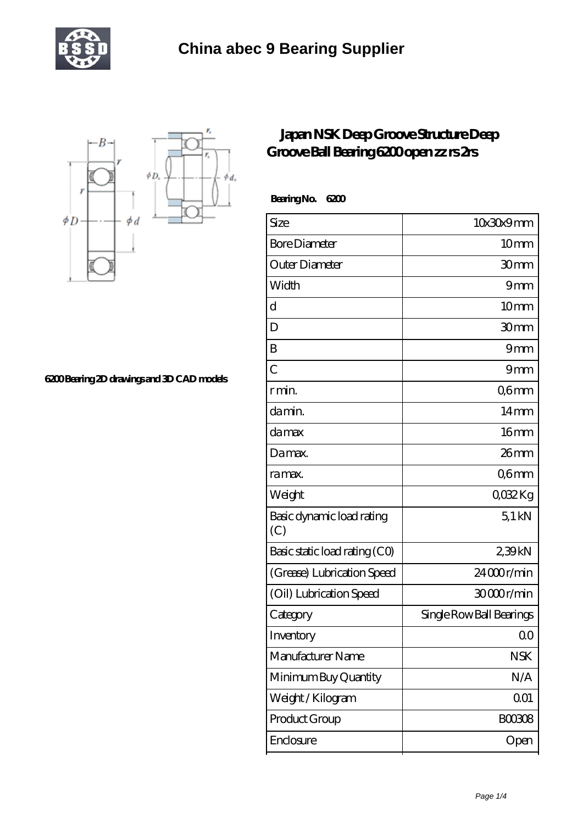



**[6200 Bearing 2D drawings and 3D CAD models](https://m.tourethiopiatravel.com/pic-681401.html)**

## **[Japan NSK Deep Groove Structure Deep](https://m.tourethiopiatravel.com/nsk-607z-bearing/681401.html) [Groove Ball Bearing 6200 open zz rs 2rs](https://m.tourethiopiatravel.com/nsk-607z-bearing/681401.html)**

 **Bearing No. 6200**

| Size                             | 10x30x9mm                |
|----------------------------------|--------------------------|
| <b>Bore Diameter</b>             | 10mm                     |
| Outer Diameter                   | 30mm                     |
| Width                            | 9mm                      |
| d                                | 10 <sub>mm</sub>         |
| D                                | 30mm                     |
| B                                | 9mm                      |
| Ċ                                | 9mm                      |
| r min.                           | Q6mm                     |
| da min.                          | 14 <sub>mm</sub>         |
| damax                            | 16mm                     |
| Damax.                           | $26$ mm                  |
| ra max.                          | Q6mm                     |
| Weight                           | 0032Kg                   |
| Basic dynamic load rating<br>(C) | $5.1$ kN                 |
| Basic static load rating (CO)    | 239kN                    |
| (Grease) Lubrication Speed       | 24000r/min               |
| (Oil) Lubrication Speed          | 30000r/min               |
| Category                         | Single Row Ball Bearings |
| Inventory                        | Q0                       |
| Manufacturer Name                | <b>NSK</b>               |
| Minimum Buy Quantity             | N/A                      |
| Weight/Kilogram                  | 001                      |
| Product Group                    | <b>BOO3O8</b>            |
| Enclosure                        | Open                     |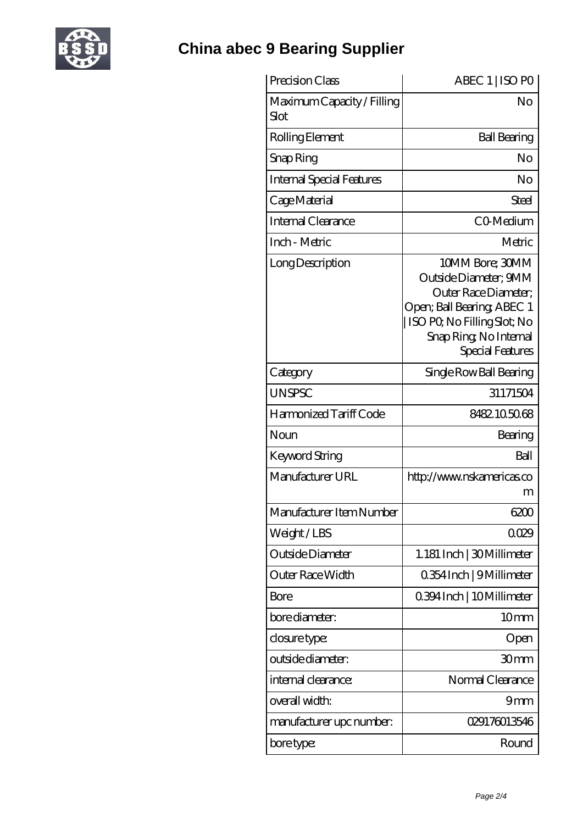

| Precision Class                    | ABEC 1   ISO PO                                                                                                                                                                   |
|------------------------------------|-----------------------------------------------------------------------------------------------------------------------------------------------------------------------------------|
| Maximum Capacity / Filling<br>Slot | No                                                                                                                                                                                |
| Rolling Element                    | <b>Ball Bearing</b>                                                                                                                                                               |
| Snap Ring                          | No                                                                                                                                                                                |
| <b>Internal Special Features</b>   | No                                                                                                                                                                                |
| Cage Material                      | Steel                                                                                                                                                                             |
| Internal Clearance                 | CO-Medium                                                                                                                                                                         |
| Inch - Metric                      | Metric                                                                                                                                                                            |
| Long Description                   | 10MM Bore; 30MM<br>Outside Diameter; 9MM<br>Outer Race Diameter;<br>Open; Ball Bearing; ABEC 1<br>ISO PQ No Filling Slot; No<br>Snap Ring, No Internal<br><b>Special Features</b> |
| Category                           | Single Row Ball Bearing                                                                                                                                                           |
| <b>UNSPSC</b>                      | 31171504                                                                                                                                                                          |
| Harmonized Tariff Code             | 8482105068                                                                                                                                                                        |
| Noun                               | Bearing                                                                                                                                                                           |
| Keyword String                     | Ball                                                                                                                                                                              |
| Manufacturer URL                   | http://www.nskamericas.co<br>m                                                                                                                                                    |
| Manufacturer Item Number           | 6200                                                                                                                                                                              |
| Weight/LBS                         | 0029                                                                                                                                                                              |
| Outside Diameter                   | 1.181 Inch   30 Millimeter                                                                                                                                                        |
| Outer Race Width                   | 0.354 Inch   9 Millimeter                                                                                                                                                         |
| Bore                               | 0.394 Inch   10 Millimeter                                                                                                                                                        |
| bore diameter:                     | 10mm                                                                                                                                                                              |
| closure type:                      | Open                                                                                                                                                                              |
| outside diameter:                  | 30 <sub>mm</sub>                                                                                                                                                                  |
| internal clearance:                | Normal Clearance                                                                                                                                                                  |
| overall width:                     | 9mm                                                                                                                                                                               |
| manufacturer upc number:           | 029176013546                                                                                                                                                                      |
| bore type:                         | Round                                                                                                                                                                             |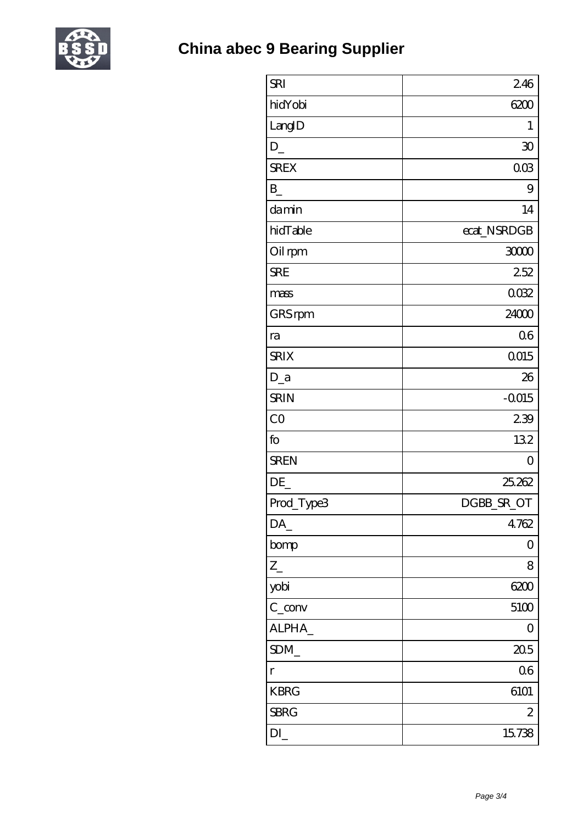

| <b>SRI</b>  | 246             |
|-------------|-----------------|
| hidYobi     | 6200            |
| LangID      | 1               |
| D           | $\overline{30}$ |
| <b>SREX</b> | 003             |
| $B_{-}$     | 9               |
| damin       | 14              |
| hidTable    | ecat_NSRDGB     |
| Oil rpm     | 3000            |
| <b>SRE</b>  | 252             |
| mass        | 0032            |
| GRS rpm     | 24000           |
| ra          | 06              |
| <b>SRIX</b> | 0015            |
| $D_a$       | 26              |
| <b>SRIN</b> | $-0015$         |
| CO          | 239             |
| fo          | 132             |
| <b>SREN</b> | $\overline{O}$  |
| DE          | 25,262          |
| Prod_Type3  | DGBB_SR_OT      |
| DA          | 4762            |
| bomp        | 0               |
| $Z_{-}$     | 8               |
| yobi        | 6200            |
| $C_{conv}$  | 5100            |
| ALPHA       | $\overline{0}$  |
| SDM         | 205             |
| $\Gamma$    | 06              |
| <b>KBRG</b> | 6101            |
| <b>SBRG</b> | $\mathbf{z}$    |
| DI          | 15738           |